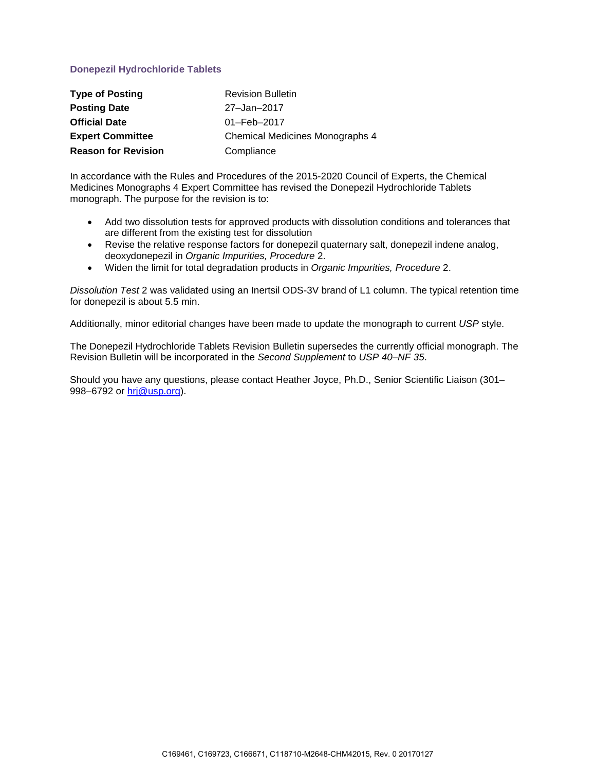## **Donepezil Hydrochloride Tablets**

| <b>Type of Posting</b>     | <b>Revision Bulletin</b>               |
|----------------------------|----------------------------------------|
| <b>Posting Date</b>        | 27-Jan-2017                            |
| <b>Official Date</b>       | 01-Feb-2017                            |
| <b>Expert Committee</b>    | <b>Chemical Medicines Monographs 4</b> |
| <b>Reason for Revision</b> | Compliance                             |

In accordance with the Rules and Procedures of the 2015-2020 Council of Experts, the Chemical Medicines Monographs 4 Expert Committee has revised the Donepezil Hydrochloride Tablets monograph. The purpose for the revision is to:

- Add two dissolution tests for approved products with dissolution conditions and tolerances that are different from the existing test for dissolution
- Revise the relative response factors for donepezil quaternary salt, donepezil indene analog, deoxydonepezil in *Organic Impurities, Procedure* 2.
- Widen the limit for total degradation products in *Organic Impurities, Procedure* 2.

*Dissolution Test* 2 was validated using an Inertsil ODS-3V brand of L1 column. The typical retention time for donepezil is about 5.5 min.

Additionally, minor editorial changes have been made to update the monograph to current *USP* style.

The Donepezil Hydrochloride Tablets Revision Bulletin supersedes the currently official monograph. The Revision Bulletin will be incorporated in the *Second Supplement* to *USP 40–NF 35*.

Should you have any questions, please contact Heather Joyce, Ph.D., Senior Scientific Liaison (301– 998–6792 or [hrj@usp.org\)](mailto:hrj@usp.org).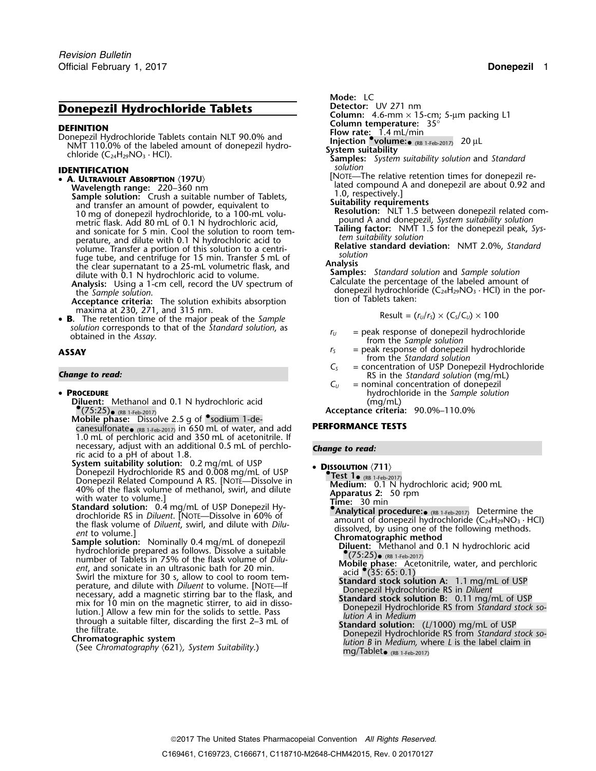## **Donepezil Hydrochloride Tablets Detector:** UV 271 nm

**Column temperature:** 35° **DEFINITION Flow rate:** 1.4 mL/min Donepezil Hydrochloride Tablets contain NLT 90.0% and **Injection •.volume:**•(RB 1-Feb-2017)<sup>20</sup> <sup>µ</sup><sup>L</sup> NMT 110.0% of the labeled amount of donepezil hydro- **System suitability** chloride (C24H29NO<sup>3</sup> · HCl). **Samples:** *System suitability solution* and *Standard*

- **A. ULTRAVIOLET ABSORPTION** 〈**197U**〉
	- Sample solution: Crush a suitable number of Tablets,<br>
	and transfer an amount of powder, equivalent to<br>
	10 mg of donepezil hydrochloride, to a 100-mL volu-<br>
	The Resolution: NLT 1.5 be<br>
	metric flask. Add 80 mL of 0.1 N hydro and transfer an amount of powder, equivalent to<br>
	10 mg of donepezil hydrochloride, to a 100-mL volu-<br>
	metric flask. Add 80 mL of 0.1 N hydrochloric acid,<br>
	and sonicate for 5 min. Cool the solution to room tem-<br>
	Tailing fac Fracture, and dilute with 0.1 N hydrochloric acid to<br>volume. Transfer a portion of this solution to a centri-<br>fuge tube, and centrifuge for 15 min. Transfer 5 mL of<br>the clear supernatant to a 25-mL volumetric flask, and<br>di
	-
	- **Acceptance criteria:** The solution exhibits absorption maxima at 230, 271, and 315 nm.
- maxima at 230, 271, and 315 nm.<br>**B.** The retention time of the major peak of the *Sample* **Example** Result =  $(r_0/r_s) \times (C_s/C_0) \times 100$ *solution* corresponds to that of the *Standard solution*, as *r<sub>U</sub>* = peak response of donepezil hydrochloride obtained in the *Assay*.

### • PROCEDURE

- **Diluent:** Methanol and 0.1 N hydrochloric acid (mg/mL) •
- **.•**(75:25)• (RB 1-Feb-2017)<br> **Mobile phase:** Dissolve 2.5 g of •sodium 1-de-<br> **Acceptance criteria:** 90.0%–110.0% canesulfonate<sub>. (RB 1-Feb-2017)</sub> in 650 mL of water, and add **PERFORMANCE TESTS** 1.0 mL of perchloric acid and 350 mL of acetonitrile. If necessary, adjust with an additional 0.5 mL of perchlo- *Change to read:* ric acid to a pH of about 1.8.
- **System suitability solution:** 0.2 mg/mL of USP **<sup>D</sup>ISSOLUTION** 〈**711**〉 Donepezil Hydrochloride RS and 0.008 mg/mL of USP **•**Donepezil Related Compound A RS. [NOTE—Dissolve in<br>
40% of the flask volume of methanol, swirl, and dilute<br>
with water to volume.]<br>
Standard solution: 0.4 mg/mL of USP Donepezil Hy-<br>
Standard solution: 0.4 mg/mL of USP Don
- Standard School and School and School and School and School and RS in Diluent. [NOTE—Dissolve in 60% of<br>the flask volume of Diluent, swirl, and dilute with Dilu-<br>ent to volume.]<br>Sample solution: Nominally 0.4 mg/mL of don
- Fundamental and solution. The magnetic state of the filade with the filtrate.<br>
Summer of Tablets in 75% of the flask volume of Dilu-<br>
ent, and sonicate in an ultrasonic bath for 20 min.<br>
Swirl the mixture for 30 s, allow

- **Mode:** LC
- 
- **Column:** 4.6-mm × 15-cm; 5-µm packing L1
- 
- 
- -
- 
- **IDENTIFICATION**<br>
 **A. ULTRAVIOLET ABSORPTION** (197U)<br>
Wavelength range: 220–360 nm<br>
Wavelength range: 220–360 nm
	-
	-
	-

**Analysis:** Using a 1-cm cell, record the UV spectrum of Lalculate the percentage of the labeled amount of the *Sample solution*.<br> **Analysis:** Using a 1-cm cell, record the UV spectrum of the *donepezil hydrochloride (C<sub>2*</sub>

$$
Result = (r_U/r_S) \times (C_S/C_U) \times 100
$$

- 
- **ASSAY** *r<sub>S</sub>* = peak response of donepezil hydrochloride from the *Standard solution*
- *C*<sub>S</sub> = concentration of USP Donepezil Hydrochloride<br>RS in the *Standard solution* (mg/mL)<br>C<sub>U</sub> = nominal concentration of donepezil
	- $=$  nominal concentration of donepezil **PROCEDURE** hydrochloride in the *Sample solution*

- -
	-
	-
	-
	-
	-
	-
	-
	-
	-
	- $mg/Table$ t (RB 1-Feb-2017)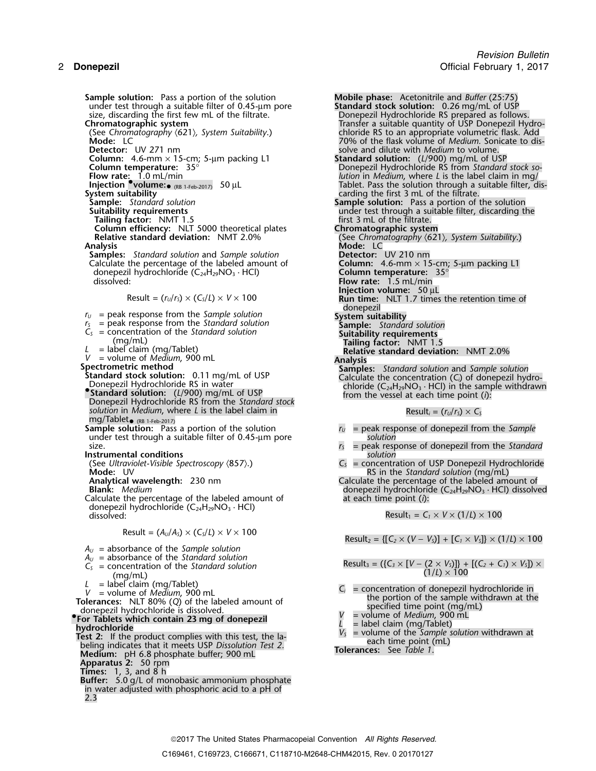2 **Donepezil** Official February 1, 2017 **Sample solution:** Pass a portion of the solution **Mobile phase:** Acetonitrile and *Buffer* (25:75) under test through a suitable filter of 0.45-µm pore **Standard stock solution:** 0.26 mg/mL of USP under test through a suitable filter of 0.45-µm pore size, discarding the first few mL of the filtrate. size, discarding the first few mL of the filtrate.<br>
Donepezil Hydrochloride RS prepared as follows.<br>
Transfer a suitable quantity of USP Donepezil Hydrochloride RS prepared as follows. **Chromatographic system** Transfer a suitable quantity of USP Donepezil Hydro- (See *Chromatography* 〈621〉*, System Suitability*.) chloride RS to an appropriate volumetric flask. Add **Detector:** UV 271 nm solve and dilute with *Medium* to volume. **Column:** 4.6-mm × 15-cm; 5-µm packing L1 **Standard solution:** (*L*/900) mg/mL of USP **Column:** 4.6-mm × 15-cm; 5-μm packing L1<br> **Column:** 4.6-mm × 15-cm; 5-μm packing L1<br> **Column temperature:** 35° **Donepezil Hydrochloride RS from** *Standard stock so***-<br>
Donepezil Hydrochloride RS from** *Standard stock so***-Injection •**<br>**Injection ••volume:•** (RB 1-Feb-2017) 50 µL<br>System suitability **System suitability**<br>
System suitability<br>
Sample: Standard solution<br>
Sample solution: Pass a portion of the filtrate. **Tailing factor:** Number 1.5 and the method of the filtrate.<br> **Tailing factor:** NMT 1.5 first 3 mL of the filtrate.<br> **Column efficiency:** NLT 5000 theoretical plates **Chromatographic system Column efficiency:** NLT 5000 theoretical plates<br>**Relative standard deviation:** NMT 2.0% **Relative standard deviation:** NMT 2.0% (See *Chromatography (621), System Suitability.*)<br>**Analysis Mode:** LC **Samples:** *Standard solution* and *Sample solution* **Detector:** UV 210 nm<br>Calculate the percentage of the labeled amount of **Column:** 4.6-mm × 15-cm; 5-µm packing L1 Calculate the percentage of the labeled amount of donepezil hydrochloride (C<sub>24</sub>H<sub>29</sub>NO<sub>3</sub> · HCl)<br>dissolved  $r_U$  = peak response from the *Sample solution*  $r_S$  = peak response from the *Standard solution <sup>r</sup><sup>S</sup>* = peak response from the *Standard solution* **Sample:** *Standard solution C<sub>S</sub>* = concentration of the *Standard solution* **Suitability requirements** (mg/mL) **Tailing factor:** NMT 1.5 <br>*L* = label claim (mg/Tablet) **Tailing factor:** NMT 1.5 **Relative standard deviat** *L* = label claim (mg/Tablet)<br> *V* = volume of *Medium*, 900 mL **Relative standard deviation:** NMT 2.0% *V* = volume of *Medium*, 900 mL<br> **Spectrometric method**<br> **Standard stock solution:** 0.11 mg/mL of USP<br>
Donepezil Hydrochloride RS in water<br> **Standard solution:** (*L*/900) mg/mL of USP<br> **Standard solution:** (*L/900*) mg/m **.Standard solution:** (*L*/900) mg/mL of USP from the vessel at each time point (*i*): Donepezil Hydrochloride RS from the *Standard stock solution* in *Medium*, where *L* is the label claim in Result*i* =  $(r_U/r_S) \times C_S$ mg/Tablet• (RB 1-Feb-2017) **Sample solution:** Pass a portion of the solution *<sup>r</sup><sup>U</sup>* = peak response of donepezil from the *Sample* under test through a suitable filter of 0.45-µm pore *solution* size. *r<sub>S</sub>* = peak response of donepezil from the *Standard r<sub>S</sub>* = peak response of donepezil from the *Standard solution* **Instrumental conditions** *solution* (See *Ultraviolet-Visible Spectroscopy*  $\langle 857 \rangle$ .)  $C_s$  = concentration of USP Donepezil Hydrochloride **Mode:** UV **Mode:** UV **RS** in the *Standard solution* (mg/mL)<br>Analytical wavelength: 230 nm **Research Constanting Calculate** the percentage of the labeled ame **Blank:** *Medium*<br>Calculate the percentage of the labeled amount of and act be each time point (i):<br>Calculate the percentage of the labeled amount of and act based at each time point (i): Calculate the percentage of the labeled amount of donepezil hydrochloride (C<sub>24</sub>H<sub>29</sub>NO<sub>3</sub> · HCl)<br>dissolved:  $Result = (A_U/A_S) \times (C_S/L) \times V \times 100$  $A_U$  = absorbance of the *Sample solution*<br> $A_U$  = absorbance of the *Standard solution*  $A_U$  = absorbance of the *standard solution*<br>  $C_S$  = concentration of the *Standard solution*<br>
(mg/mL) (1/L) × 100<br>
L = label claim (mg/Tablet)  $V =$  volume of *M*equation, 900 mL  
\n**7** U = volume of *M*equation, 900 mL  
\n**8** 1000 cm L  
\n**9** 200 cm L  
\n**9** 300 cm L  
\n**10** 400 cm L  
\n**11** 500% (Q) of the labeled amount of  
\n31 cm d  
\n**12** 300 cm L  
\n**13** 300 cm L  
\n**14** 400 cm L  
\n**15** 500 cm L  
\n**16** 500 cm L**For Tablets which contain 23 mg of donepezil**  $\mu$  **= volume of** *Medium***, 900 mln = volume of** *Medium***, 900 mln = 1<br>hydrochloride hydrochloride**<br>
Test 2: If the product complies with this test, the la-<br>
beling indicates that it meets USP Dissolution Test 2.<br>
Madium: nH 6 a phocphate buffor: 000 ml **Medium: Tolerances:** See *Table 1*. pH 6.8 <sup>p</sup>hosphate buffer; 900 mL **Apparatus 2:** 50 rpm **Times:** 1, 3, and 8 h **Buffer:** 5.0 g/L of monobasic ammonium phosphate in water adjusted with phosphoric acid to a pH of 2.3

**Mode:** LC 70% of the flask volume of *Medium.* Sonicate to dis-Iution in *Medium*, where *L* is the label claim in mg/ Tablet. Pass the solution through a suitable filter, dis-**Sample solution:** Pass a portion of the solution under test through a suitable filter, discarding the<br>first 3 mL of the filtrate. **Mode:** LC<br>**Detector:** UV 210 nm **Column temperature:** 35<sup>°</sup><br>Flow rate: 1.5 mL/min **Injection volume:** 50 µL Result = (*<sup>r</sup>U*/*<sup>r</sup>S*) × (*CS*/*L*) <sup>×</sup> *V* <sup>×</sup> 100 **Run time:** NLT 1.7 times the retention time of donepezil<br>System suitability<br>Sample: Standard solution

- 
- 
- 

Calculate the percentage of the labeled amount of

Result<sub>1</sub> =  $C_1 \times V \times (1/L) \times 100$ 

 $Result_2 = \{ [C_2 \times (V - V_5)] + [C_1 \times V_5] \} \times (1/L) \times 100$ 

- 
- 
- 
-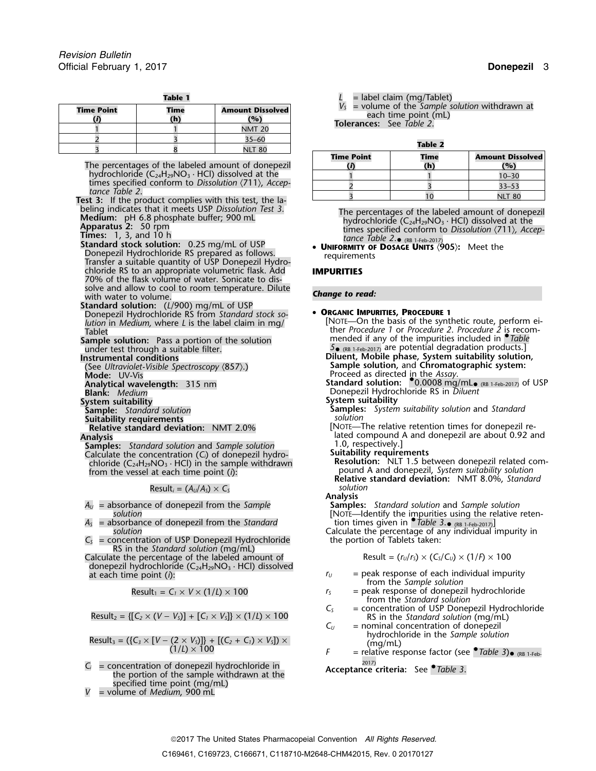| = label claim (mg/Table                                                               | <b>Table 1</b>                 |                                  |  |
|---------------------------------------------------------------------------------------|--------------------------------|----------------------------------|--|
| $V_s$ = volume of the Sample<br>each time point (m<br><b>Tolerances:</b> See Table 2. | <b>Amount Dissolved</b><br>(%) | <b>Time Point</b><br>Time<br>(h) |  |
|                                                                                       | <b>NMT 20</b>                  |                                  |  |
| Table 2                                                                               | $35 - 60$<br><b>NLT 80</b>     |                                  |  |
| ___                                                                                   |                                |                                  |  |

The percentages of the labeled amount of donepezil **(***i***) (h) (%)** hydrochloride  $(C_{24}H_{29}NO_3 \cdot HCl)$  dissolved at the times specified conform to *Dissolution*  $(711)$ , *Accep*-

# tance Table 2.<br> **Test 3:** If the product complies with this test, the labeling indicates that it meets USP Dissolution Test 3.

- 
- Standard stock solution: 0.25 mg/mL of USP **UNIFORMITY OF DOSAGE UNITS**  $\langle 905 \rangle$ **:** Meet the Donepezil Hydrochloride RS prepared as follows. **Constant Donepezil Hydro-** Transfer a suitable quantity of USP Donepezil Hydrochloride RS to an appropriate volumetric flask. Add **IMPURITIES** 70% of the flask volume of water. Sonicate to dissolve and allow to cool to room temperature. Dilute with water to volume. *Change to read:*
- **Standard solution:** (*L*/900) mg/mL of USP Donepezil Hydrochloride RS from *Standard stock so-* • **<sup>O</sup>RGANIC IMPURITIES, PROCEDURE <sup>1</sup>**
- 
- 
- 
- 
- 
- **System suitability System suitability**
- 
- 
- **Sample:** Standard solution<br>**Suitability requirements**<br>**Relative standard deviation:** NMT 2.0%
- **Analysis**<br>**Samples:** *Standard solution* and *Sample solution* 1.0, respectively.] Calculate the concentration  $(C_i)$  of donepezil hydro-<br>chloride  $(C_{24}H_{29}NO_3 \cdot HCl)$  in the sample withdrawn

 $Result_i = (A_i / A_s) \times C_s$  *solution* 

- 
- $A_S$  = absorbance of donepezil from the *Standard* solution
- $C<sub>S</sub>$  = concentration of USP Donepezil Hydrochloride RS in the *Standard solution* (mg/mL)

Calculate the percentage of the labeled amount of  $\Box$  Result =  $(r_u/r_s) \times (C_s/C_u) \times (1/f) \times 100$ donepezil hydrochloride (C<sub>24</sub>H<sub>29</sub>NO<sub>3</sub> · HCl) dissolved at each time point (*i*):

$$
P = \frac{1}{2}
$$

hydrochloride in the *Sample solution* Result<sup>3</sup> = ({*C<sup>3</sup>* <sup>×</sup> [*<sup>V</sup>* <sup>−</sup> (2 <sup>×</sup> *<sup>V</sup>S*)]} + [(*C2*<sup>+</sup>*C1*) <sup>×</sup> *<sup>V</sup>S*]) <sup>×</sup> (mg/mL) (1/*L*) ×<sup>100</sup> *<sup>F</sup>* = relative response factor (see •.*Table 3*)• (RB 1-Feb-

= concentration of donepezil hydrochloride in **Acceptance criteria:** See *•Table 3*. the portion of the sample withdrawn at the specified time point (mg/mL)

 $=$  volume of *Medium*, 900 mL

= label claim (mg/Tablet)

 $V_s$  = volume of the *Sample solution* withdrawn at each time point (mL)<br>**Tolerances:** See *Table 2*.

| .                 |            |                                |  |  |
|-------------------|------------|--------------------------------|--|--|
| <b>Time Point</b> | Time<br>h) | <b>Amount Dissolved</b><br>(%) |  |  |
|                   |            | $10 - 30$                      |  |  |
|                   |            | $33 - 53$                      |  |  |
|                   |            | <b>NLT 80</b>                  |  |  |

being indicates that it meets USP Dissolution lest 3.<br>
Medium: pH 6.8 phosphate buffer; 900 mL<br>
Apparatus 2: 50 rpm<br>
Times: 1, 3, and 10 h<br>
Times: 1, 3, and 10 h<br>
tance Table 2.• (RR 1-Feb-2017) tance Table 2. $\bullet$  (RB 1-Feb-2017)<br>• **UNIFORMITY OF DOSAGE UNITS** (905): Meet the

## [NOTE—On the basis of the synthetic route, perform ei- *lution* in *Medium,* where *L* is the label claim in mg/ Tablet **Tablet** ther *Procedure 1* or *Procedure 2. Procedure 2* is recom-<br>**Sample solution:** Pass a portion of the solution mended if any of the impurities included in *Table* Sample solution: Pass a portion of the solution<br>
under test through a suitable filter.<br> **Instrumental conditions**<br> **Instrumental conditions**<br> **Instrumental conditions**<br> **Instrumental conditions**<br> **Instrumental conditions Diluent, Mobile phase, System suitability solution, Instrumental conditions Sample solution,** and **Chromatographic system:** (See *Ultraviolet-Visible Spectroscopy* 〈857〉.) **Mode:** UV-Vis **Analytical wavelength:** 315 nm **Standard Solution:** • **COLUTAN Standard solution:** • **COLUTAN STANDING**<br>**Analytical wavelength:** 315 nm **Standard Solution: • 1.0.0008 mg/mL**• (RB 1-Feb-2017) of USP **Blank:** *Medium* Donepezil Hydrochloride RS in *Diluent* **Sample:** *Standard solution* **Samples:** *System suitability solution* and *Standard* **Relative standard deviation:** NMT 2.0% [NOTE—The relative retention times for donepezil re-**Analysis** lated compound A and donepezil are about 0.92 and chloride the concentration (C<sub>i</sub>) of donepezil hydro-<br>chloride (C<sub>24</sub>H<sub>29</sub>NO<sub>3</sub> · HCl) in the sample withdrawn<br>from the vessel at each time point (i):<br>from the vessel at each time point (i):<br>from the vessel at each time po pound A and donepezil, *System suitability solution* **Relative standard deviation:** NMT 8.0%, *Standard* **Analysis** *A<sup>U</sup>* = absorbance of donepezil from the *Sample* **Samples:** *Standard solution* and *Sample solution* s*olution*<br>https://the impurities using the relative reten-اsorbance of donepezil from the St*andard* [NOTE—Identify the impurities using the relative reten-Calculate the percentage of any individual impurity in the portion of Tablets taken:  $r_U$  = peak response of each individual impurity from the *Sample solution*

- Result<sub>1</sub> =  $C_1 \times V \times (1/L) \times 100$  *r<sub>S</sub>* = peak response of donepezil hydrochloride from the *Standard solution*
- Result<sub>2</sub> = {[C<sub>2</sub> × (V V<sub>S</sub>)] + [C<sub>1</sub> × V<sub>S</sub>]} × (1/L) × 100<br>
C<sub>5</sub> = concentration of USP Donepezil Hydrochloride<br>
RS in the *Standard solution* (mg/mL)<br>
= nominal concentration of donepezil
	- = nominal concentration of donepezil<br>hydrochloride in the *Sample solution*
	-